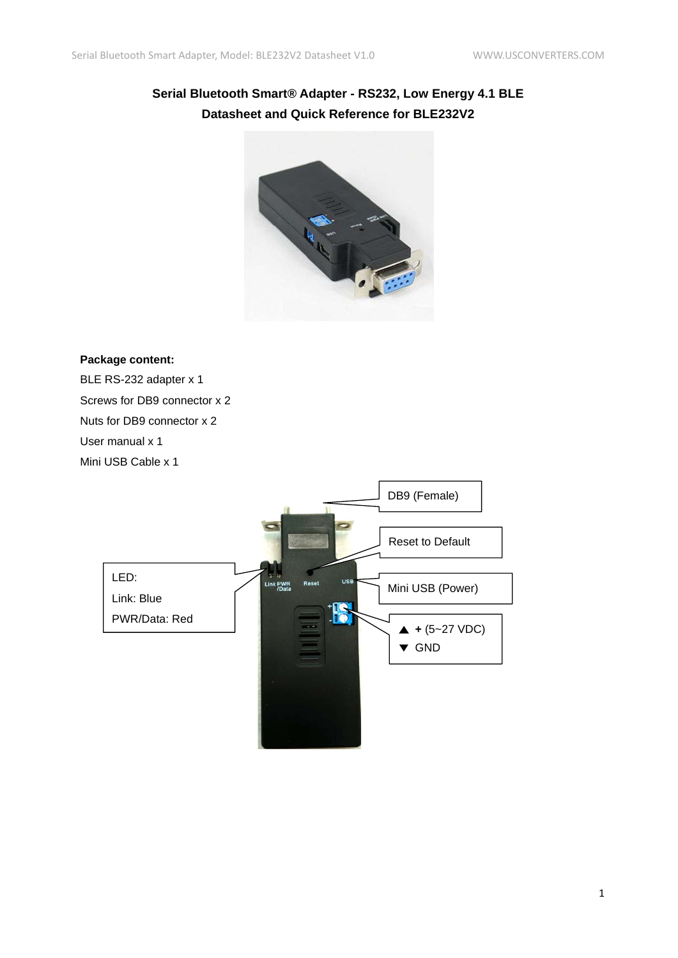# **Serial Bluetooth Smart® Adapter - RS232, Low Energy 4.1 BLE Datasheet and Quick Reference for BLE232V2**



#### **Package content:**

BLE RS-232 adapter x 1 Screws for DB9 connector x 2 Nuts for DB9 connector x 2 User manual x 1 Mini USB Cable x 1

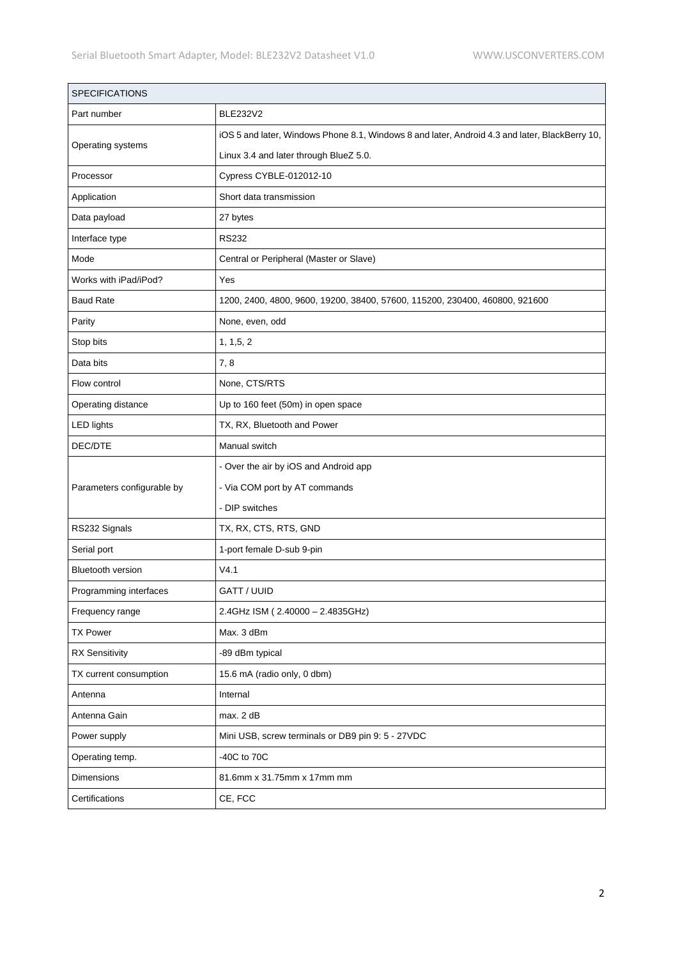| <b>SPECIFICATIONS</b>      |                                                                                                |
|----------------------------|------------------------------------------------------------------------------------------------|
| Part number                | <b>BLE232V2</b>                                                                                |
| Operating systems          | iOS 5 and later, Windows Phone 8.1, Windows 8 and later, Android 4.3 and later, BlackBerry 10, |
|                            | Linux 3.4 and later through BlueZ 5.0.                                                         |
| Processor                  | Cypress CYBLE-012012-10                                                                        |
| Application                | Short data transmission                                                                        |
| Data payload               | 27 bytes                                                                                       |
| Interface type             | <b>RS232</b>                                                                                   |
| Mode                       | Central or Peripheral (Master or Slave)                                                        |
| Works with iPad/iPod?      | Yes                                                                                            |
| <b>Baud Rate</b>           | 1200, 2400, 4800, 9600, 19200, 38400, 57600, 115200, 230400, 460800, 921600                    |
| Parity                     | None, even, odd                                                                                |
| Stop bits                  | 1, 1, 5, 2                                                                                     |
| Data bits                  | 7,8                                                                                            |
| Flow control               | None, CTS/RTS                                                                                  |
| Operating distance         | Up to 160 feet (50m) in open space                                                             |
| <b>LED lights</b>          | TX, RX, Bluetooth and Power                                                                    |
| DEC/DTE                    | Manual switch                                                                                  |
|                            | - Over the air by iOS and Android app                                                          |
| Parameters configurable by | - Via COM port by AT commands                                                                  |
|                            | - DIP switches                                                                                 |
| RS232 Signals              | TX, RX, CTS, RTS, GND                                                                          |
| Serial port                | 1-port female D-sub 9-pin                                                                      |
| <b>Bluetooth version</b>   | V4.1                                                                                           |
| Programming interfaces     | GATT / UUID                                                                                    |
| Frequency range            | 2.4GHz ISM (2.40000 - 2.4835GHz)                                                               |
| <b>TX Power</b>            | Max. 3 dBm                                                                                     |
| <b>RX Sensitivity</b>      | -89 dBm typical                                                                                |
| TX current consumption     | 15.6 mA (radio only, 0 dbm)                                                                    |
| Antenna                    | Internal                                                                                       |
| Antenna Gain               | max. 2 dB                                                                                      |
| Power supply               | Mini USB, screw terminals or DB9 pin 9: 5 - 27VDC                                              |
| Operating temp.            | -40C to 70C                                                                                    |
| Dimensions                 | 81.6mm x 31.75mm x 17mm mm                                                                     |
| Certifications             | CE, FCC                                                                                        |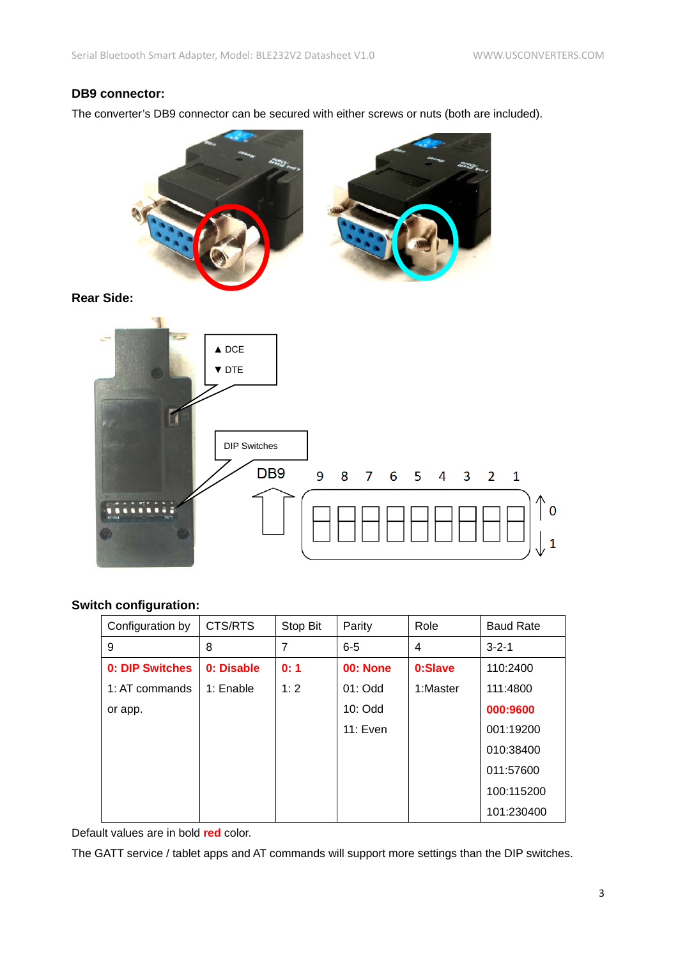## **DB9 connector:**

The converter's DB9 connector can be secured with either screws or nuts (both are included).



**Rear Side:**



## **Switch configuration:**

| Configuration by | CTS/RTS    | Stop Bit | Parity          | Role     | <b>Baud Rate</b> |
|------------------|------------|----------|-----------------|----------|------------------|
| 9                | 8          | 7        | $6 - 5$         | 4        | $3 - 2 - 1$      |
| 0: DIP Switches  | 0: Disable | 0:1      | <b>00: None</b> | 0:Slave  | 110:2400         |
| 1: AT commands   | 1: Enable  | 1:2      | $01:$ Odd       | 1:Master | 111:4800         |
| or app.          |            |          | $10:$ Odd       |          | 000:9600         |
|                  |            |          | 11: Even        |          | 001:19200        |
|                  |            |          |                 |          | 010:38400        |
|                  |            |          |                 |          | 011:57600        |
|                  |            |          |                 |          | 100:115200       |
|                  |            |          |                 |          | 101:230400       |

Default values are in bold **red** color.

The GATT service / tablet apps and AT commands will support more settings than the DIP switches.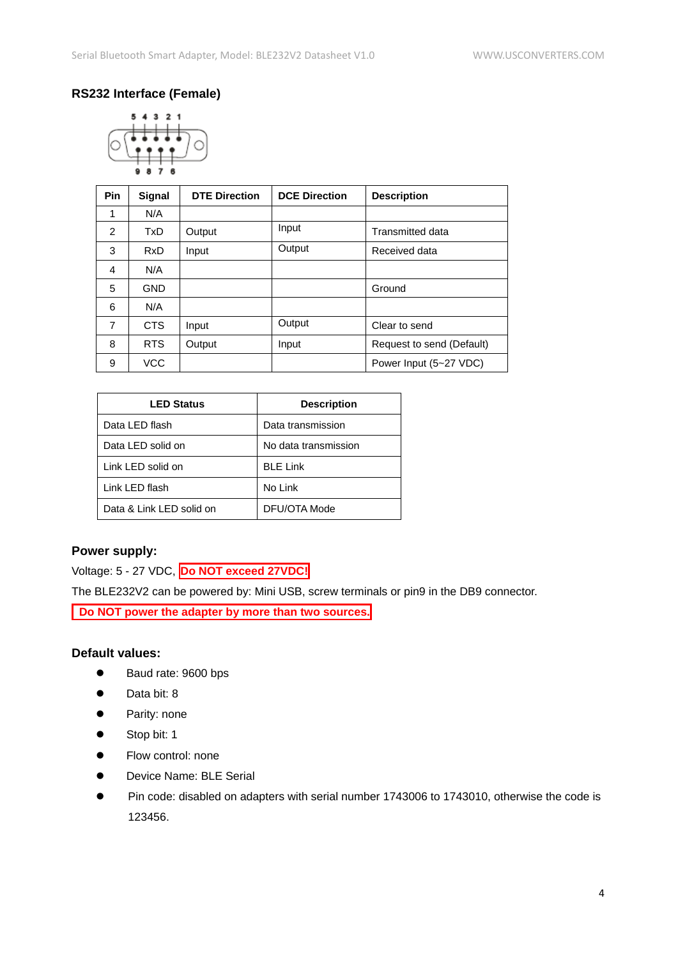## **RS232 Interface (Female)**



| <b>Pin</b> | Signal     | <b>DTE Direction</b> | <b>DCE Direction</b> | <b>Description</b>        |
|------------|------------|----------------------|----------------------|---------------------------|
| 1          | N/A        |                      |                      |                           |
| 2          | <b>TxD</b> | Output               | Input                | <b>Transmitted data</b>   |
| 3          | <b>RxD</b> | Input                | Output               | Received data             |
| 4          | N/A        |                      |                      |                           |
| 5          | <b>GND</b> |                      |                      | Ground                    |
| 6          | N/A        |                      |                      |                           |
| 7          | <b>CTS</b> | Input                | Output               | Clear to send             |
| 8          | <b>RTS</b> | Output               | Input                | Request to send (Default) |
| 9          | <b>VCC</b> |                      |                      | Power Input (5~27 VDC)    |

| <b>LED Status</b>        | <b>Description</b>   |
|--------------------------|----------------------|
| Data LED flash           | Data transmission    |
| Data LED solid on        | No data transmission |
| Link LED solid on        | <b>BLE Link</b>      |
| Link LED flash           | No Link              |
| Data & Link LED solid on | DFU/OTA Mode         |
|                          |                      |

### **Power supply:**

Voltage: 5 - 27 VDC, **Do NOT exceed 27VDC!**

The BLE232V2 can be powered by: Mini USB, screw terminals or pin9 in the DB9 connector.

**Do NOT power the adapter by more than two sources.**

### **Default values:**

- Baud rate: 9600 bps
- Data bit: 8
- **•** Parity: none
- Stop bit: 1
- **Flow control: none**
- Device Name: BLE Serial
- Pin code: disabled on adapters with serial number 1743006 to 1743010, otherwise the code is 123456.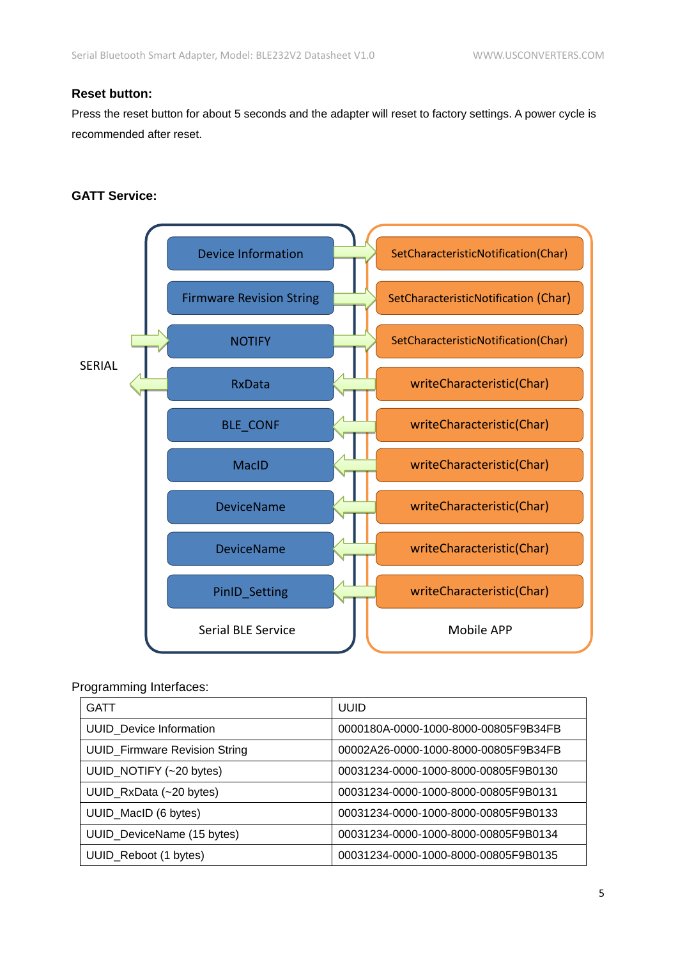## **Reset button:**

Press the reset button for about 5 seconds and the adapter will reset to factory settings. A power cycle is recommended after reset.

#### **GATT Service:**



#### Programming Interfaces:

| <b>GATT</b>                          | <b>UUID</b>                          |
|--------------------------------------|--------------------------------------|
| <b>UUID</b> Device Information       | 0000180A-0000-1000-8000-00805F9B34FB |
| <b>UUID_Firmware Revision String</b> | 00002A26-0000-1000-8000-00805F9B34FB |
| UUID_NOTIFY (~20 bytes)              | 00031234-0000-1000-8000-00805F9B0130 |
| UUID_RxData (~20 bytes)              | 00031234-0000-1000-8000-00805F9B0131 |
| UUID_MacID (6 bytes)                 | 00031234-0000-1000-8000-00805F9B0133 |
| UUID_DeviceName (15 bytes)           | 00031234-0000-1000-8000-00805F9B0134 |
| UUID_Reboot (1 bytes)                | 00031234-0000-1000-8000-00805F9B0135 |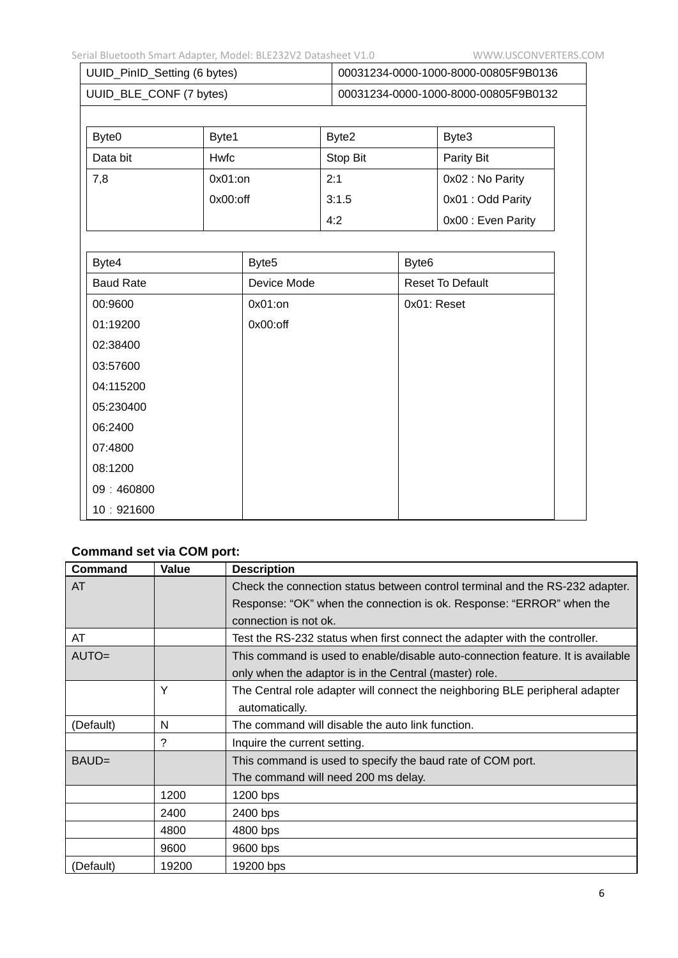| UUID_PinID_Setting (6 bytes) | 00031234-0000-1000-8000-00805F9B0136 |
|------------------------------|--------------------------------------|
| UUID_BLE_CONF (7 bytes)      | 00031234-0000-1000-8000-00805F9B0132 |

| Byte <sub>0</sub> | Byte1       | Byte2    | Byte3              |
|-------------------|-------------|----------|--------------------|
| Data bit          | Hwfc        | Stop Bit | Parity Bit         |
| 7,8               | $0x01:$ on  | 2:1      | 0x02 : No Parity   |
|                   | $0x00:$ off | 3:1.5    | 0x01 : Odd Parity  |
|                   |             | 4:2      | 0x00 : Even Parity |

| Byte4            | Byte <sub>5</sub> | Byte <sub>6</sub>       |
|------------------|-------------------|-------------------------|
| <b>Baud Rate</b> | Device Mode       | <b>Reset To Default</b> |
| 00:9600          | 0x01:on           | 0x01: Reset             |
| 01:19200         | $0x00:$ off       |                         |
| 02:38400         |                   |                         |
| 03:57600         |                   |                         |
| 04:115200        |                   |                         |
| 05:230400        |                   |                         |
| 06:2400          |                   |                         |
| 07:4800          |                   |                         |
| 08:1200          |                   |                         |
| 09:460800        |                   |                         |
| 10:921600        |                   |                         |

# **Command set via COM port:**

| <b>Command</b> | Value | <b>Description</b>                                                              |
|----------------|-------|---------------------------------------------------------------------------------|
| AT             |       | Check the connection status between control terminal and the RS-232 adapter.    |
|                |       | Response: "OK" when the connection is ok. Response: "ERROR" when the            |
|                |       | connection is not ok.                                                           |
| AT             |       | Test the RS-232 status when first connect the adapter with the controller.      |
| $AUTO =$       |       | This command is used to enable/disable auto-connection feature. It is available |
|                |       | only when the adaptor is in the Central (master) role.                          |
|                | Υ     | The Central role adapter will connect the neighboring BLE peripheral adapter    |
|                |       | automatically.                                                                  |
| (Default)      | N     | The command will disable the auto link function.                                |
|                | ?     | Inquire the current setting.                                                    |
| BAUD=          |       | This command is used to specify the baud rate of COM port.                      |
|                |       | The command will need 200 ms delay.                                             |
|                | 1200  | 1200 bps                                                                        |
|                | 2400  | 2400 bps                                                                        |
|                | 4800  | 4800 bps                                                                        |
|                | 9600  | 9600 bps                                                                        |
| (Default)      | 19200 | 19200 bps                                                                       |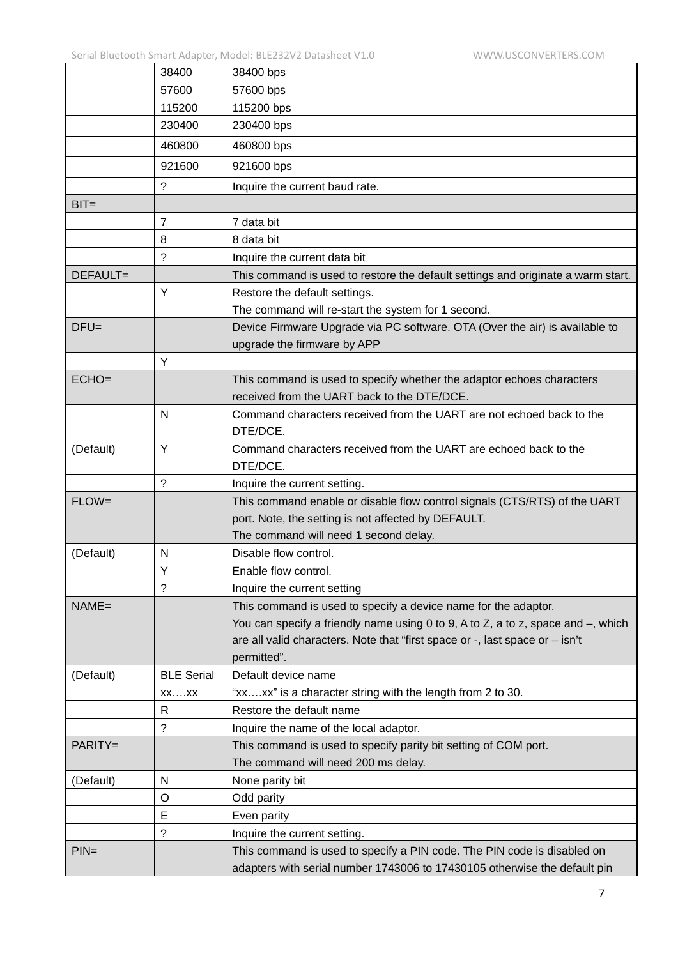|           | 38400             | 38400 bps                                                                                                  |
|-----------|-------------------|------------------------------------------------------------------------------------------------------------|
|           | 57600             | 57600 bps                                                                                                  |
|           | 115200            | 115200 bps                                                                                                 |
|           | 230400            | 230400 bps                                                                                                 |
|           | 460800            | 460800 bps                                                                                                 |
|           | 921600            | 921600 bps                                                                                                 |
|           | $\ddot{?}$        | Inquire the current baud rate.                                                                             |
| $BIT=$    |                   |                                                                                                            |
|           | $\overline{7}$    | 7 data bit                                                                                                 |
|           | 8                 | 8 data bit                                                                                                 |
|           | ?                 | Inquire the current data bit                                                                               |
| DEFAULT=  |                   | This command is used to restore the default settings and originate a warm start.                           |
|           | Y                 | Restore the default settings.                                                                              |
|           |                   | The command will re-start the system for 1 second.                                                         |
| $DFU=$    |                   | Device Firmware Upgrade via PC software. OTA (Over the air) is available to<br>upgrade the firmware by APP |
|           | Y                 |                                                                                                            |
| $ECHO=$   |                   | This command is used to specify whether the adaptor echoes characters                                      |
|           |                   | received from the UART back to the DTE/DCE.                                                                |
|           | N                 | Command characters received from the UART are not echoed back to the                                       |
|           |                   | DTE/DCE.                                                                                                   |
| (Default) | Y                 | Command characters received from the UART are echoed back to the                                           |
|           |                   | DTE/DCE.                                                                                                   |
|           | ?                 | Inquire the current setting.                                                                               |
| $FLOW=$   |                   | This command enable or disable flow control signals (CTS/RTS) of the UART                                  |
|           |                   | port. Note, the setting is not affected by DEFAULT.                                                        |
|           |                   | The command will need 1 second delay.                                                                      |
| (Default) | N                 | Disable flow control.                                                                                      |
|           | Υ                 | Enable flow control.                                                                                       |
|           | $\tilde{?}$       | Inquire the current setting                                                                                |
| $NAME =$  |                   | This command is used to specify a device name for the adaptor.                                             |
|           |                   | You can specify a friendly name using 0 to 9, A to Z, a to z, space and $-$ , which                        |
|           |                   | are all valid characters. Note that "first space or -, last space or - isn't                               |
|           |                   | permitted".                                                                                                |
| (Default) | <b>BLE Serial</b> | Default device name                                                                                        |
|           | $XX$ $XX$         | "xxxx" is a character string with the length from 2 to 30.                                                 |
|           | R                 | Restore the default name                                                                                   |
|           | ?                 | Inquire the name of the local adaptor.                                                                     |
| PARITY=   |                   | This command is used to specify parity bit setting of COM port.                                            |
|           |                   | The command will need 200 ms delay.                                                                        |
| (Default) | N                 | None parity bit                                                                                            |
|           | O                 | Odd parity                                                                                                 |
|           | E                 | Even parity                                                                                                |
|           | ?                 | Inquire the current setting.                                                                               |
| $PIN=$    |                   | This command is used to specify a PIN code. The PIN code is disabled on                                    |
|           |                   | adapters with serial number 1743006 to 17430105 otherwise the default pin                                  |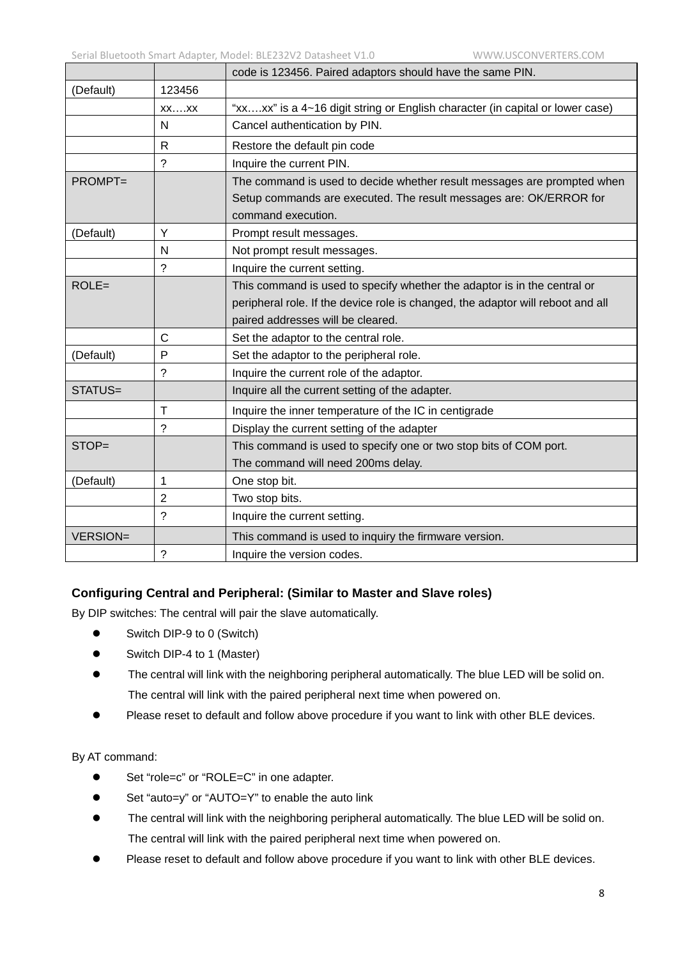|                 |                | code is 123456. Paired adaptors should have the same PIN.                       |
|-----------------|----------------|---------------------------------------------------------------------------------|
| (Default)       | 123456         |                                                                                 |
|                 | $XX$ $XX$      | "xxxx" is a 4~16 digit string or English character (in capital or lower case)   |
|                 | N              | Cancel authentication by PIN.                                                   |
|                 | R.             | Restore the default pin code                                                    |
|                 | ?              | Inquire the current PIN.                                                        |
| <b>PROMPT=</b>  |                | The command is used to decide whether result messages are prompted when         |
|                 |                | Setup commands are executed. The result messages are: OK/ERROR for              |
|                 |                | command execution.                                                              |
| (Default)       | Y              | Prompt result messages.                                                         |
|                 | N              | Not prompt result messages.                                                     |
|                 | ?              | Inquire the current setting.                                                    |
| $ROLE =$        |                | This command is used to specify whether the adaptor is in the central or        |
|                 |                | peripheral role. If the device role is changed, the adaptor will reboot and all |
|                 |                | paired addresses will be cleared.                                               |
|                 | $\overline{C}$ | Set the adaptor to the central role.                                            |
| (Default)       | P              | Set the adaptor to the peripheral role.                                         |
|                 | ?              | Inquire the current role of the adaptor.                                        |
| STATUS=         |                | Inquire all the current setting of the adapter.                                 |
|                 | Τ              | Inquire the inner temperature of the IC in centigrade                           |
|                 | ?              | Display the current setting of the adapter                                      |
| STOP=           |                | This command is used to specify one or two stop bits of COM port.               |
|                 |                | The command will need 200ms delay.                                              |
| (Default)       | 1              | One stop bit.                                                                   |
|                 | $\overline{2}$ | Two stop bits.                                                                  |
|                 | $\gamma$       | Inquire the current setting.                                                    |
| <b>VERSION=</b> |                | This command is used to inquiry the firmware version.                           |
|                 | ?              | Inquire the version codes.                                                      |

#### **Configuring Central and Peripheral: (Similar to Master and Slave roles)**

By DIP switches: The central will pair the slave automatically.

- Switch DIP-9 to 0 (Switch)
- Switch DIP-4 to 1 (Master)
- The central will link with the neighboring peripheral automatically. The blue LED will be solid on. The central will link with the paired peripheral next time when powered on.
- Please reset to default and follow above procedure if you want to link with other BLE devices.

#### By AT command:

- Set "role=c" or "ROLE=C" in one adapter.
- Set "auto=y" or "AUTO=Y" to enable the auto link
- The central will link with the neighboring peripheral automatically. The blue LED will be solid on. The central will link with the paired peripheral next time when powered on.
- Please reset to default and follow above procedure if you want to link with other BLE devices.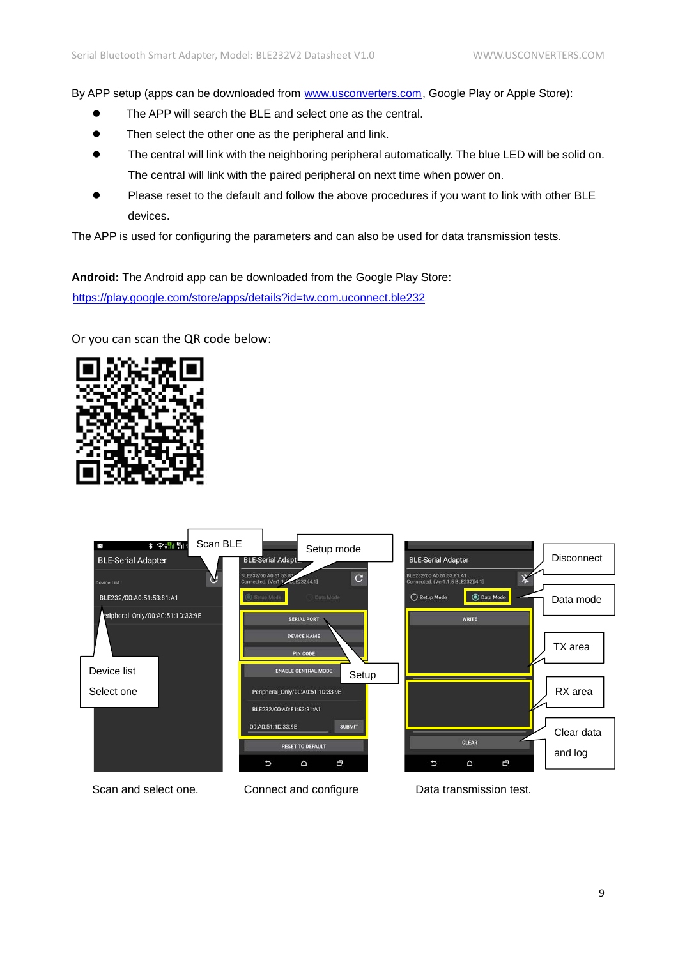By APP setup (apps can be downloaded from [www.usconverters.com](http://www.usconverters.com/), Google Play or Apple Store):

- The APP will search the BLE and select one as the central.
- Then select the other one as the peripheral and link.
- The central will link with the neighboring peripheral automatically. The blue LED will be solid on. The central will link with the paired peripheral on next time when power on.
- Please reset to the default and follow the above procedures if you want to link with other BLE devices.

The APP is used for configuring the parameters and can also be used for data transmission tests.

**Android:** The Android app can be downloaded from the Google Play Store:

<https://play.google.com/store/apps/details?id=tw.com.uconnect.ble232>

Or you can scan the QR code below: